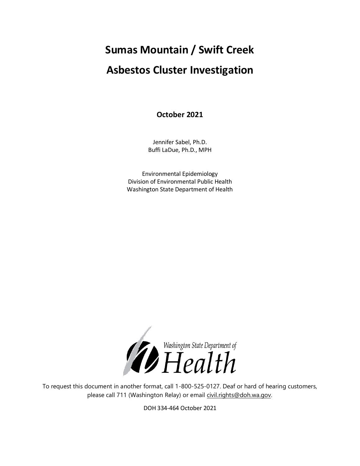# **Sumas Mountain / Swift Creek Asbestos Cluster Investigation**

**October 2021**

Jennifer Sabel, Ph.D. Buffi LaDue, Ph.D., MPH

Environmental Epidemiology Division of Environmental Public Health Washington State Department of Health



To request this document in another format, call 1-800-525-0127. Deaf or hard of hearing customers, please call 711 (Washington Relay) or email [civil.rights@doh.wa.gov.](mailto:civil.rights@doh.wa.gov)

DOH 334-464 October 2021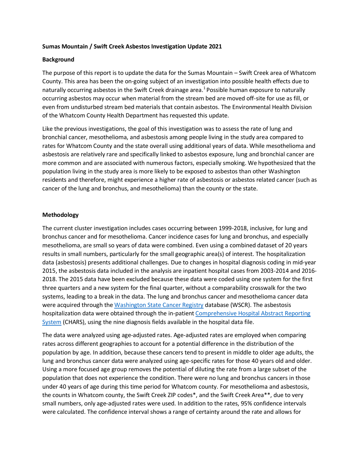### **Sumas Mountain / Swift Creek Asbestos Investigation Update 2021**

## **Background**

The purpose of this report is to update the data for the Sumas Mountain – Swift Creek area of Whatcom County. This area has been the on-going subject of an investigation into possible health effects due to naturally occurring asbestos in the Swift Creek drainage area.<sup>1</sup> Possible human exposure to naturally occurring asbestos may occur when material from the stream bed are moved off-site for use as fill, or even from undisturbed stream bed materials that contain asbestos. The Environmental Health Division of the Whatcom County Health Department has requested this update.

Like the previous investigations, the goal of this investigation was to assess the rate of lung and bronchial cancer, mesothelioma, and asbestosis among people living in the study area compared to rates for Whatcom County and the state overall using additional years of data. While mesothelioma and asbestosis are relatively rare and specifically linked to asbestos exposure, lung and bronchial cancer are more common and are associated with numerous factors, especially smoking. We hypothesized that the population living in the study area is more likely to be exposed to asbestos than other Washington residents and therefore, might experience a higher rate of asbestosis or asbestos related cancer (such as cancer of the lung and bronchus, and mesothelioma) than the county or the state.

### **Methodology**

The current cluster investigation includes cases occurring between 1999-2018, inclusive, for lung and bronchus cancer and for mesothelioma. Cancer incidence cases for lung and bronchus, and especially mesothelioma, are small so years of data were combined. Even using a combined dataset of 20 years results in small numbers, particularly for the small geographic area(s) of interest. The hospitalization data (asbestosis) presents additional challenges. Due to changes in hospital diagnosis coding in mid-year 2015, the asbestosis data included in the analysis are inpatient hospital cases from 2003-2014 and 2016- 2018. The 2015 data have been excluded because these data were coded using one system for the first three quarters and a new system for the final quarter, without a comparability crosswalk for the two systems, leading to a break in the data. The lung and bronchus cancer and mesothelioma cancer data were acquired through th[e Washington State Cancer Registry](https://www.doh.wa.gov/dataandstatisticalreports/diseasesandchronicconditions/cancerdata) database (WSCR). The asbestosis hospitalization data were obtained through the in-patien[t Comprehensive Hospital Abstract Reporting](https://www.doh.wa.gov/DataandStatisticalReports/HealthcareinWashington/HospitalandPatientData/HospitalDischargeDataCHARS)  [System](https://www.doh.wa.gov/DataandStatisticalReports/HealthcareinWashington/HospitalandPatientData/HospitalDischargeDataCHARS) (CHARS), using the nine diagnosis fields available in the hospital data file.

The data were analyzed using age-adjusted rates. Age-adjusted rates are employed when comparing rates across different geographies to account for a potential difference in the distribution of the population by age. In addition, because these cancers tend to present in middle to older age adults, the lung and bronchus cancer data were analyzed using age-specific rates for those 40 years old and older. Using a more focused age group removes the potential of diluting the rate from a large subset of the population that does not experience the condition. There were no lung and bronchus cancers in those under 40 years of age during this time period for Whatcom county. For mesothelioma and asbestosis, the counts in Whatcom county, the Swift Creek ZIP codes\*, and the Swift Creek Area\*\*, due to very small numbers, only age-adjusted rates were used. In addition to the rates, 95% confidence intervals were calculated. The confidence interval shows a range of certainty around the rate and allows for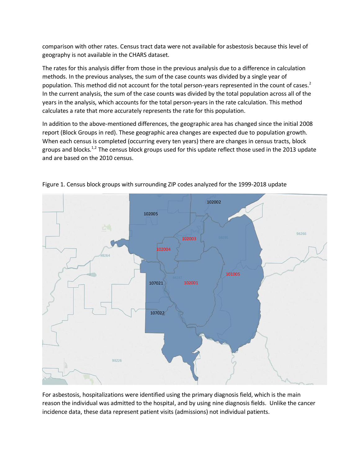comparison with other rates. Census tract data were not available for asbestosis because this level of geography is not available in the CHARS dataset.

The rates for this analysis differ from those in the previous analysis due to a difference in calculation methods. In the previous analyses, the sum of the case counts was divided by a single year of population. This method did not account for the total person-years represented in the count of cases.<sup>2</sup> In the current analysis, the sum of the case counts was divided by the total population across all of the years in the analysis, which accounts for the total person-years in the rate calculation. This method calculates a rate that more accurately represents the rate for this population.

In addition to the above-mentioned differences, the geographic area has changed since the initial 2008 report (Block Groups in red). These geographic area changes are expected due to population growth. When each census is completed (occurring every ten years) there are changes in census tracts, block groups and blocks.<sup>1,2</sup> The census block groups used for this update reflect those used in the 2013 update and are based on the 2010 census.



Figure 1. Census block groups with surrounding ZIP codes analyzed for the 1999-2018 update

For asbestosis, hospitalizations were identified using the primary diagnosis field, which is the main reason the individual was admitted to the hospital, and by using nine diagnosis fields. Unlike the cancer incidence data, these data represent patient visits (admissions) not individual patients.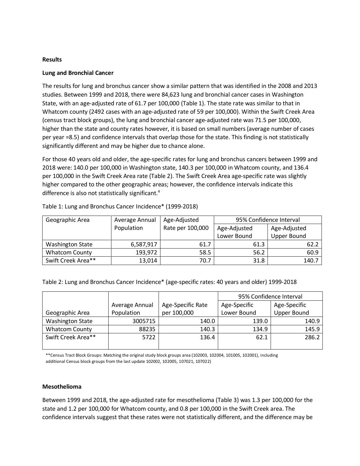## **Results**

# **Lung and Bronchial Cancer**

The results for lung and bronchus cancer show a similar pattern that was identified in the 2008 and 2013 studies. Between 1999 and 2018, there were 84,623 lung and bronchial cancer cases in Washington State, with an age-adjusted rate of 61.7 per 100,000 (Table 1). The state rate was similar to that in Whatcom county (2492 cases with an age-adjusted rate of 59 per 100,000). Within the Swift Creek Area (census tract block groups), the lung and bronchial cancer age-adjusted rate was 71.5 per 100,000, higher than the state and county rates however, it is based on small numbers (average number of cases per year =8.5) and confidence intervals that overlap those for the state. This finding is not statistically significantly different and may be higher due to chance alone.

For those 40 years old and older, the age-specific rates for lung and bronchus cancers between 1999 and 2018 were: 140.0 per 100,000 in Washington state, 140.3 per 100,000 in Whatcom county, and 136.4 per 100,000 in the Swift Creek Area rate (Table 2). The Swift Creek Area age-specific rate was slightly higher compared to the other geographic areas; however, the confidence intervals indicate this difference is also not statistically significant.<sup>4</sup>

| Geographic Area         | Average Annual | Age-Adjusted     | 95% Confidence Interval |                    |
|-------------------------|----------------|------------------|-------------------------|--------------------|
|                         | Population     | Rate per 100,000 | Age-Adjusted            | Age-Adjusted       |
|                         |                |                  | Lower Bound             | <b>Upper Bound</b> |
| <b>Washington State</b> | 6,587,917      | 61.7             | 61.3                    | 62.2               |
| <b>Whatcom County</b>   | 193,972        | 58.5             | 56.2                    | 60.9               |
| Swift Creek Area**      | 13,014         | 70.7             | 31.8                    | 140.7              |

Table 1: Lung and Bronchus Cancer Incidence\* (1999-2018)

Table 2: Lung and Bronchus Cancer Incidence\* (age-specific rates: 40 years and older) 1999-2018

|                         |                |                   | 95% Confidence Interval |                    |
|-------------------------|----------------|-------------------|-------------------------|--------------------|
|                         | Average Annual | Age-Specific Rate | Age-Specific            | Age-Specific       |
| Geographic Area         | Population     | per 100,000       | Lower Bound             | <b>Upper Bound</b> |
| <b>Washington State</b> | 3005715        | 140.0             | 139.0                   | 140.9              |
| <b>Whatcom County</b>   | 88235          | 140.3             | 134.9                   | 145.9              |
| Swift Creek Area**      | 5722           | 136.4             | 62.1                    | 286.2              |
|                         |                |                   |                         |                    |

\*\*Census Tract Block Groups: Matching the original study block groups area (102003, 102004, 101005, 102001), including additional Census block groups from the last update 102002, 102005, 107021, 107022)

#### **Mesothelioma**

Between 1999 and 2018, the age-adjusted rate for mesothelioma (Table 3) was 1.3 per 100,000 for the state and 1.2 per 100,000 for Whatcom county, and 0.8 per 100,000 in the Swift Creek area. The confidence intervals suggest that these rates were not statistically different, and the difference may be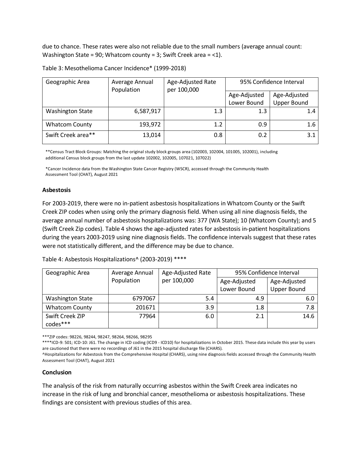due to chance. These rates were also not reliable due to the small numbers (average annual count: Washington State = 90; Whatcom county = 3; Swift Creek area = <1).

| Geographic Area         | Average Annual<br>Population | Age-Adjusted Rate<br>per 100,000 | 95% Confidence Interval |                    |
|-------------------------|------------------------------|----------------------------------|-------------------------|--------------------|
|                         | Age-Adjusted                 | Age-Adjusted                     |                         |                    |
|                         |                              |                                  | Lower Bound             | <b>Upper Bound</b> |
| <b>Washington State</b> | 6,587,917                    | 1.3                              | 1.3                     | 1.4                |
| <b>Whatcom County</b>   | 193,972                      | 1.2                              | 0.9                     | 1.6                |
| Swift Creek area**      | 13,014                       | 0.8                              | 0.2                     | 3.1                |

Table 3: Mesothelioma Cancer Incidence\* (1999-2018)

\*\*Census Tract Block Groups: Matching the original study block groups area (102003, 102004, 101005, 102001), including additional Census block groups from the last update 102002, 102005, 107021, 107022)

\*Cancer Incidence data from the Washington State Cancer Registry (WSCR), accessed through the Community Health Assessment Tool (CHAT), August 2021

#### **Asbestosis**

For 2003-2019, there were no in-patient asbestosis hospitalizations in Whatcom County or the Swift Creek ZIP codes when using only the primary diagnosis field. When using all nine diagnosis fields, the average annual number of asbestosis hospitalizations was: 377 (WA State); 10 (Whatcom County); and 5 (Swift Creek Zip codes). Table 4 shows the age-adjusted rates for asbestosis in-patient hospitalizations during the years 2003-2019 using nine diagnosis fields. The confidence intervals suggest that these rates were not statistically different, and the difference may be due to chance.

Table 4: Asbestosis Hospitalizations^ (2003-2019) \*\*\*\*

| Geographic Area         | Average Annual | Age-Adjusted Rate | 95% Confidence Interval |                    |
|-------------------------|----------------|-------------------|-------------------------|--------------------|
|                         | Population     | per 100,000       | Age-Adjusted            | Age-Adjusted       |
|                         |                |                   | Lower Bound             | <b>Upper Bound</b> |
| <b>Washington State</b> | 6797067        | 5.4               | 4.9                     | 6.0                |
| <b>Whatcom County</b>   | 201671         | 3.9               | 1.8                     | 7.8                |
| Swift Creek ZIP         | 77964          | 6.0               | 2.1                     | 14.6               |
| codes***                |                |                   |                         |                    |

\*\*\*ZIP codes: 98226, 98244, 98247, 98264, 98266, 98295

\*\*\*\*ICD-9: 501; ICD-10: J61. The change in ICD coding (ICD9 - ICD10) for hospitalizations in October 2015. These data include this year by users are cautioned that there were no recordings of J61 in the 2015 hospital discharge file (CHARS).

^Hospitalizations for Asbestosis from the Comprehensive Hospital (CHARS), using nine diagnosis fields accessed through the Community Health Assessment Tool (CHAT), August 2021

# **Conclusion**

The analysis of the risk from naturally occurring asbestos within the Swift Creek area indicates no increase in the risk of lung and bronchial cancer, mesothelioma or asbestosis hospitalizations. These findings are consistent with previous studies of this area.